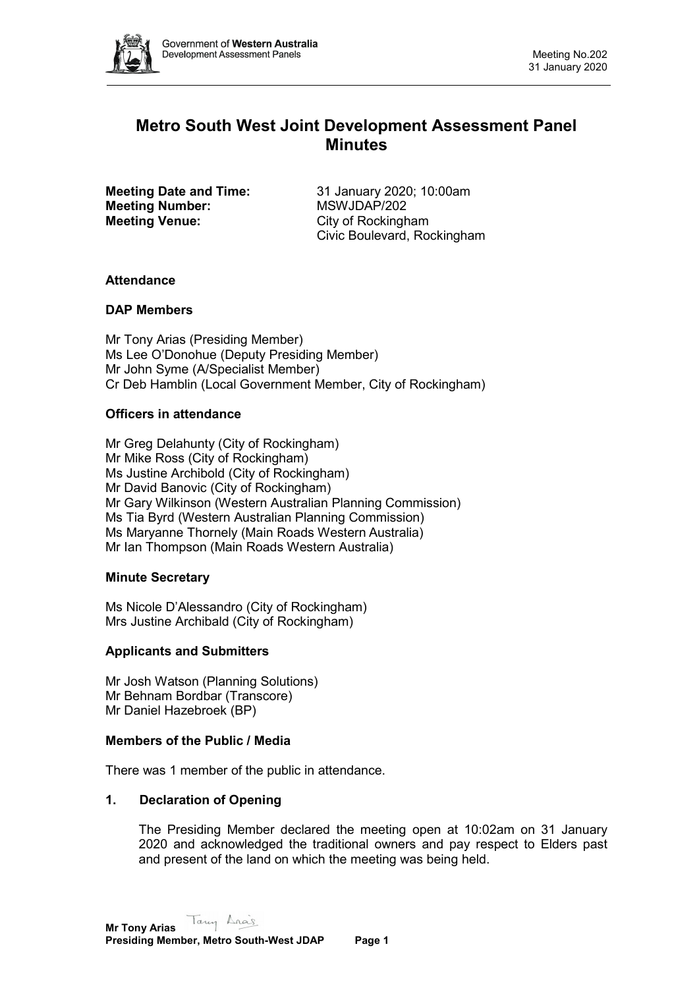

# **Metro South West Joint Development Assessment Panel Minutes**

**Meeting Number: Meeting Venue:** City of Rockingham

**Meeting Date and Time:** 31 January 2020; 10:00am<br> **Meeting Number:** MSWJDAP/202 Civic Boulevard, Rockingham

# **Attendance**

# **DAP Members**

Mr Tony Arias (Presiding Member) Ms Lee O'Donohue (Deputy Presiding Member) Mr John Syme (A/Specialist Member) Cr Deb Hamblin (Local Government Member, City of Rockingham)

# **Officers in attendance**

Mr Greg Delahunty (City of Rockingham) Mr Mike Ross (City of Rockingham) Ms Justine Archibold (City of Rockingham) Mr David Banovic (City of Rockingham) Mr Gary Wilkinson (Western Australian Planning Commission) Ms Tia Byrd (Western Australian Planning Commission) Ms Maryanne Thornely (Main Roads Western Australia) Mr Ian Thompson (Main Roads Western Australia)

# **Minute Secretary**

Ms Nicole D'Alessandro (City of Rockingham) Mrs Justine Archibald (City of Rockingham)

# **Applicants and Submitters**

Mr Josh Watson (Planning Solutions) Mr Behnam Bordbar (Transcore) Mr Daniel Hazebroek (BP)

#### **Members of the Public / Media**

There was 1 member of the public in attendance.

# **1. Declaration of Opening**

The Presiding Member declared the meeting open at 10:02am on 31 January 2020 and acknowledged the traditional owners and pay respect to Elders past and present of the land on which the meeting was being held.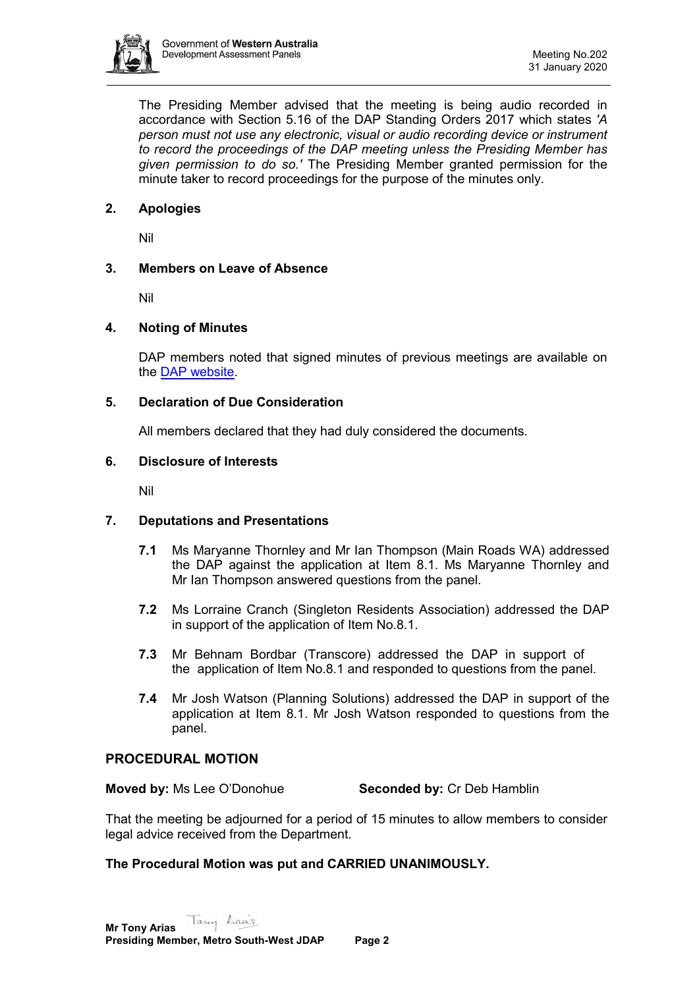

The Presiding Member advised that the meeting is being audio recorded in accordance with Section 5.16 of the DAP Standing Orders 2017 which states *'A person must not use any electronic, visual or audio recording device or instrument to record the proceedings of the DAP meeting unless the Presiding Member has given permission to do so.'* The Presiding Member granted permission for the minute taker to record proceedings for the purpose of the minutes only.

# **2. Apologies**

Nil

# **3. Members on Leave of Absence**

Nil

# **4. Noting of Minutes**

DAP members noted that signed minutes of previous meetings are available on the [DAP website.](https://www.dplh.wa.gov.au/about/development-assessment-panels/daps-agendas-and-minutes)

# **5. Declaration of Due Consideration**

All members declared that they had duly considered the documents.

## **6. Disclosure of Interests**

Nil

# **7. Deputations and Presentations**

- **7.1** Ms Maryanne Thornley and Mr Ian Thompson (Main Roads WA) addressed the DAP against the application at Item 8.1. Ms Maryanne Thornley and Mr Ian Thompson answered questions from the panel.
- **7.2** Ms Lorraine Cranch (Singleton Residents Association) addressed the DAP in support of the application of Item No.8.1.
- **7.3** Mr Behnam Bordbar (Transcore) addressed the DAP in support of the application of Item No.8.1 and responded to questions from the panel.
- **7.4** Mr Josh Watson (Planning Solutions) addressed the DAP in support of the application at Item 8.1. Mr Josh Watson responded to questions from the panel.

# **PROCEDURAL MOTION**

**Moved by:** Ms Lee O'Donohue **Seconded by:** Cr Deb Hamblin

That the meeting be adjourned for a period of 15 minutes to allow members to consider legal advice received from the Department.

#### **The Procedural Motion was put and CARRIED UNANIMOUSLY.**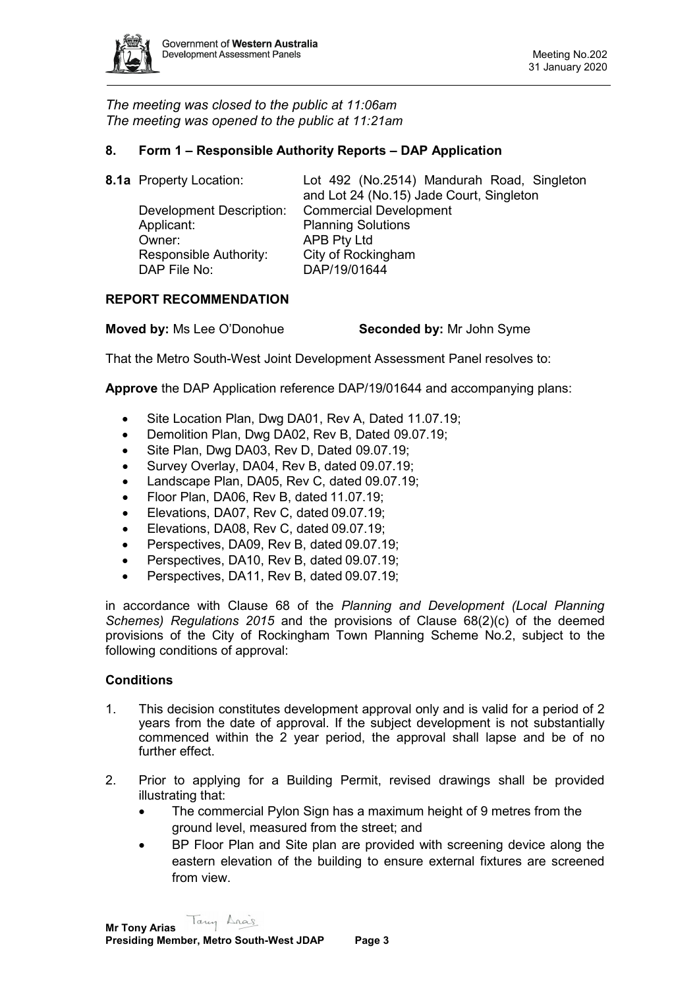

*The meeting was closed to the public at 11:06am The meeting was opened to the public at 11:21am*

## **8. Form 1 – Responsible Authority Reports – DAP Application**

| 8.1a Property Location:  | Lot 492 (No.2514) Mandurah Road, Singleton<br>and Lot 24 (No.15) Jade Court, Singleton |
|--------------------------|----------------------------------------------------------------------------------------|
| Development Description: | <b>Commercial Development</b>                                                          |
| Applicant:               | <b>Planning Solutions</b>                                                              |
| Owner:                   | <b>APB Pty Ltd</b>                                                                     |
| Responsible Authority:   | City of Rockingham                                                                     |
| DAP File No:             | DAP/19/01644                                                                           |
|                          |                                                                                        |

## **REPORT RECOMMENDATION**

| <b>Moved by: Ms Lee O'Donohue</b> | <b>Seconded by: Mr John Syme</b> |
|-----------------------------------|----------------------------------|
|-----------------------------------|----------------------------------|

That the Metro South-West Joint Development Assessment Panel resolves to:

**Approve** the DAP Application reference DAP/19/01644 and accompanying plans:

- Site Location Plan, Dwg DA01, Rev A, Dated 11.07.19;
- Demolition Plan, Dwg DA02, Rev B, Dated 09.07.19;
- Site Plan, Dwg DA03, Rev D, Dated 09.07.19;
- Survey Overlay, DA04, Rev B, dated 09.07.19;
- Landscape Plan, DA05, Rev C, dated 09.07.19;
- Floor Plan, DA06, Rev B, dated 11.07.19;
- Elevations, DA07, Rev C, dated 09.07.19;
- Elevations, DA08, Rev C, dated 09.07.19;
- Perspectives, DA09, Rev B, dated 09.07.19;
- Perspectives, DA10, Rev B, dated 09.07.19;
- Perspectives, DA11, Rev B, dated 09.07.19;

in accordance with Clause 68 of the *Planning and Development (Local Planning Schemes) Regulations 2015* and the provisions of Clause 68(2)(c) of the deemed provisions of the City of Rockingham Town Planning Scheme No.2, subject to the following conditions of approval:

#### **Conditions**

- 1. This decision constitutes development approval only and is valid for a period of 2 years from the date of approval. If the subject development is not substantially commenced within the 2 year period, the approval shall lapse and be of no further effect.
- 2. Prior to applying for a Building Permit, revised drawings shall be provided illustrating that:
	- The commercial Pylon Sign has a maximum height of 9 metres from the ground level, measured from the street; and
	- BP Floor Plan and Site plan are provided with screening device along the eastern elevation of the building to ensure external fixtures are screened from view.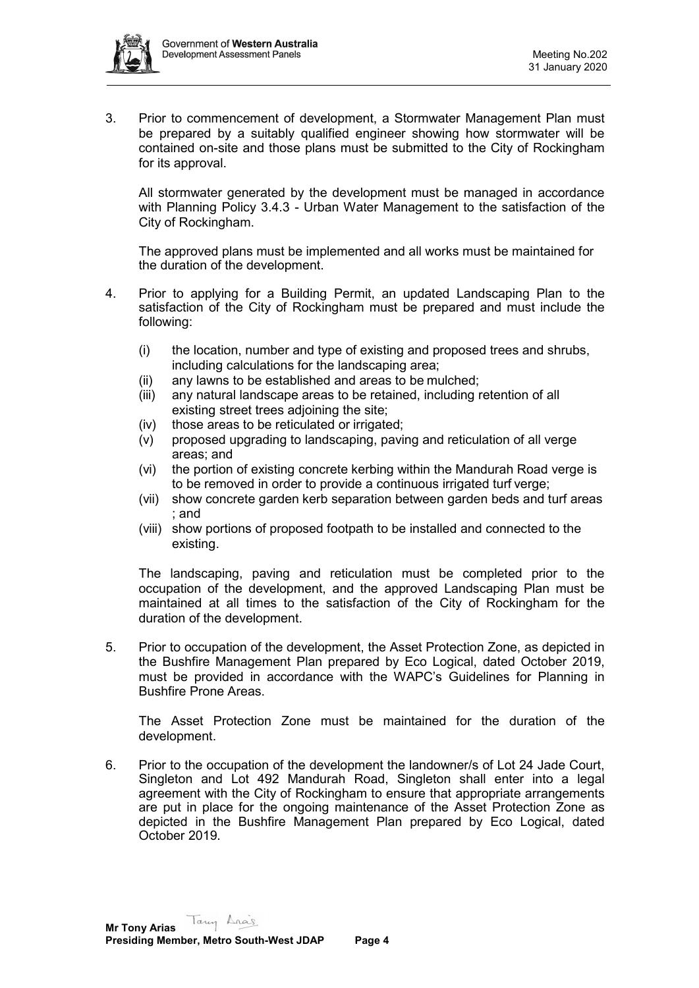

3. Prior to commencement of development, a Stormwater Management Plan must be prepared by a suitably qualified engineer showing how stormwater will be contained on-site and those plans must be submitted to the City of Rockingham for its approval.

All stormwater generated by the development must be managed in accordance with Planning Policy 3.4.3 - Urban Water Management to the satisfaction of the City of Rockingham.

The approved plans must be implemented and all works must be maintained for the duration of the development.

- 4. Prior to applying for a Building Permit, an updated Landscaping Plan to the satisfaction of the City of Rockingham must be prepared and must include the following:
	- (i) the location, number and type of existing and proposed trees and shrubs, including calculations for the landscaping area;
	- (ii) any lawns to be established and areas to be mulched;
	- (iii) any natural landscape areas to be retained, including retention of all existing street trees adjoining the site;
	- (iv) those areas to be reticulated or irrigated;
	- (v) proposed upgrading to landscaping, paving and reticulation of all verge areas; and
	- (vi) the portion of existing concrete kerbing within the Mandurah Road verge is to be removed in order to provide a continuous irrigated turf verge;
	- (vii) show concrete garden kerb separation between garden beds and turf areas ; and
	- (viii) show portions of proposed footpath to be installed and connected to the existing.

The landscaping, paving and reticulation must be completed prior to the occupation of the development, and the approved Landscaping Plan must be maintained at all times to the satisfaction of the City of Rockingham for the duration of the development.

5. Prior to occupation of the development, the Asset Protection Zone, as depicted in the Bushfire Management Plan prepared by Eco Logical, dated October 2019, must be provided in accordance with the WAPC's Guidelines for Planning in Bushfire Prone Areas.

The Asset Protection Zone must be maintained for the duration of the development.

6. Prior to the occupation of the development the landowner/s of Lot 24 Jade Court, Singleton and Lot 492 Mandurah Road, Singleton shall enter into a legal agreement with the City of Rockingham to ensure that appropriate arrangements are put in place for the ongoing maintenance of the Asset Protection Zone as depicted in the Bushfire Management Plan prepared by Eco Logical, dated October 2019.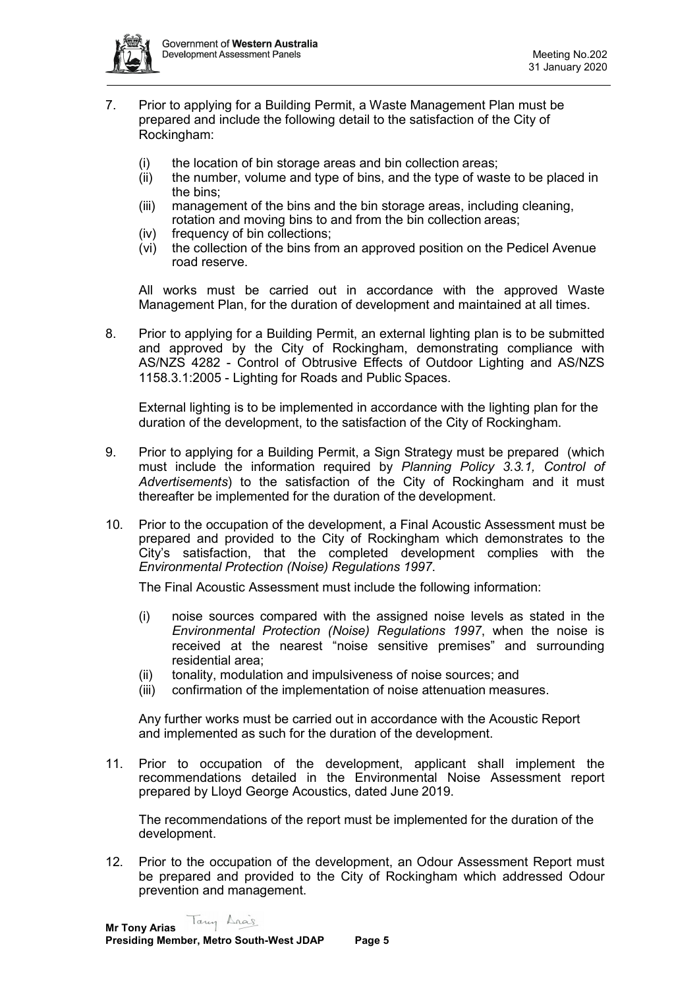

- 7. Prior to applying for a Building Permit, a Waste Management Plan must be prepared and include the following detail to the satisfaction of the City of Rockingham:
	- (i) the location of bin storage areas and bin collection areas;
	- (ii) the number, volume and type of bins, and the type of waste to be placed in the bins;
	- (iii) management of the bins and the bin storage areas, including cleaning, rotation and moving bins to and from the bin collection areas;
	- (iv) frequency of bin collections;
	- (vi) the collection of the bins from an approved position on the Pedicel Avenue road reserve.

All works must be carried out in accordance with the approved Waste Management Plan, for the duration of development and maintained at all times.

8. Prior to applying for a Building Permit, an external lighting plan is to be submitted and approved by the City of Rockingham, demonstrating compliance with AS/NZS 4282 - Control of Obtrusive Effects of Outdoor Lighting and AS/NZS 1158.3.1:2005 - Lighting for Roads and Public Spaces.

External lighting is to be implemented in accordance with the lighting plan for the duration of the development, to the satisfaction of the City of Rockingham.

- 9. Prior to applying for a Building Permit, a Sign Strategy must be prepared (which must include the information required by *Planning Policy 3.3.1, Control of Advertisements*) to the satisfaction of the City of Rockingham and it must thereafter be implemented for the duration of the development.
- 10. Prior to the occupation of the development, a Final Acoustic Assessment must be prepared and provided to the City of Rockingham which demonstrates to the City's satisfaction, that the completed development complies with the *Environmental Protection (Noise) Regulations 1997*.

The Final Acoustic Assessment must include the following information:

- (i) noise sources compared with the assigned noise levels as stated in the *Environmental Protection (Noise) Regulations 1997*, when the noise is received at the nearest "noise sensitive premises" and surrounding residential area;
- (ii) tonality, modulation and impulsiveness of noise sources; and
- (iii) confirmation of the implementation of noise attenuation measures.

Any further works must be carried out in accordance with the Acoustic Report and implemented as such for the duration of the development.

11. Prior to occupation of the development, applicant shall implement the recommendations detailed in the Environmental Noise Assessment report prepared by Lloyd George Acoustics, dated June 2019.

The recommendations of the report must be implemented for the duration of the development.

12. Prior to the occupation of the development, an Odour Assessment Report must be prepared and provided to the City of Rockingham which addressed Odour prevention and management.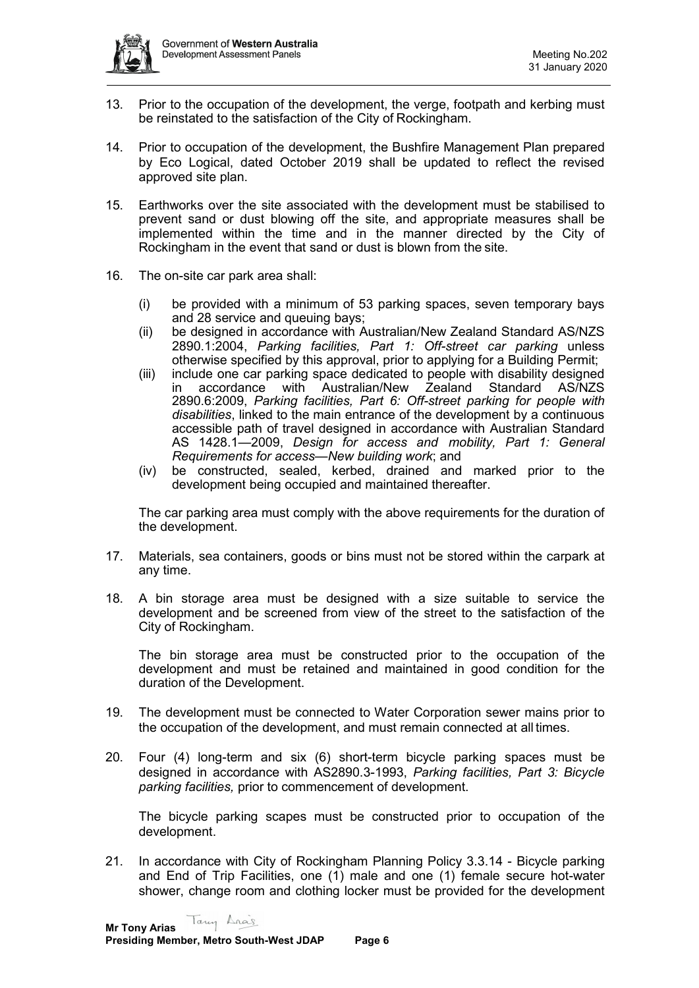

- 13. Prior to the occupation of the development, the verge, footpath and kerbing must be reinstated to the satisfaction of the City of Rockingham.
- 14. Prior to occupation of the development, the Bushfire Management Plan prepared by Eco Logical, dated October 2019 shall be updated to reflect the revised approved site plan.
- 15. Earthworks over the site associated with the development must be stabilised to prevent sand or dust blowing off the site, and appropriate measures shall be implemented within the time and in the manner directed by the City of Rockingham in the event that sand or dust is blown from the site.
- 16. The on-site car park area shall:
	- (i) be provided with a minimum of 53 parking spaces, seven temporary bays and 28 service and queuing bays;
	- (ii) be designed in accordance with Australian/New Zealand Standard AS/NZS 2890.1:2004, *Parking facilities, Part 1: Off-street car parking* unless otherwise specified by this approval, prior to applying for a Building Permit;
	- (iii) include one car parking space dedicated to people with disability designed in accordance with Australian/New Zealand Standard AS/NZS 2890.6:2009, *Parking facilities, Part 6: Off-street parking for people with disabilities*, linked to the main entrance of the development by a continuous accessible path of travel designed in accordance with Australian Standard AS 1428.1—2009, *Design for access and mobility, Part 1: General Requirements for access—New building work*; and
	- (iv) be constructed, sealed, kerbed, drained and marked prior to the development being occupied and maintained thereafter.

The car parking area must comply with the above requirements for the duration of the development.

- 17. Materials, sea containers, goods or bins must not be stored within the carpark at any time.
- 18. A bin storage area must be designed with a size suitable to service the development and be screened from view of the street to the satisfaction of the City of Rockingham.

The bin storage area must be constructed prior to the occupation of the development and must be retained and maintained in good condition for the duration of the Development.

- 19. The development must be connected to Water Corporation sewer mains prior to the occupation of the development, and must remain connected at all times.
- 20. Four (4) long-term and six (6) short-term bicycle parking spaces must be designed in accordance with AS2890.3-1993, *Parking facilities, Part 3: Bicycle parking facilities,* prior to commencement of development.

The bicycle parking scapes must be constructed prior to occupation of the development.

21. In accordance with City of Rockingham Planning Policy 3.3.14 - Bicycle parking and End of Trip Facilities, one (1) male and one (1) female secure hot-water shower, change room and clothing locker must be provided for the development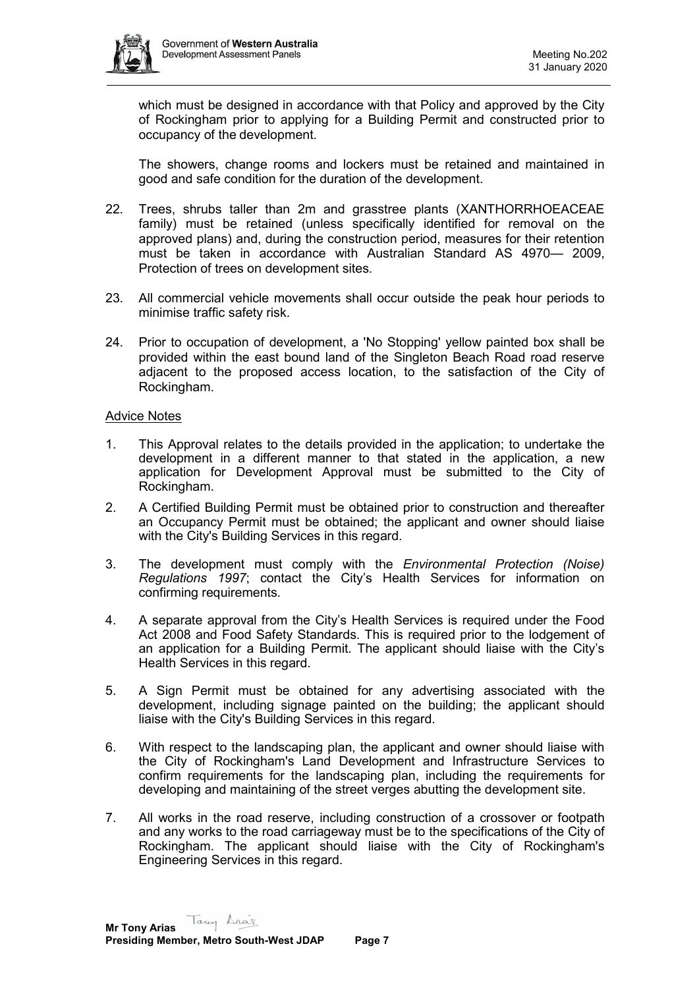

which must be designed in accordance with that Policy and approved by the City of Rockingham prior to applying for a Building Permit and constructed prior to occupancy of the development.

The showers, change rooms and lockers must be retained and maintained in good and safe condition for the duration of the development.

- 22. Trees, shrubs taller than 2m and grasstree plants (XANTHORRHOEACEAE family) must be retained (unless specifically identified for removal on the approved plans) and, during the construction period, measures for their retention must be taken in accordance with Australian Standard AS 4970— 2009, Protection of trees on development sites.
- 23. All commercial vehicle movements shall occur outside the peak hour periods to minimise traffic safety risk.
- 24. Prior to occupation of development, a 'No Stopping' yellow painted box shall be provided within the east bound land of the Singleton Beach Road road reserve adjacent to the proposed access location, to the satisfaction of the City of Rockingham.

#### Advice Notes

- 1. This Approval relates to the details provided in the application; to undertake the development in a different manner to that stated in the application, a new application for Development Approval must be submitted to the City of Rockingham.
- 2. A Certified Building Permit must be obtained prior to construction and thereafter an Occupancy Permit must be obtained; the applicant and owner should liaise with the City's Building Services in this regard.
- 3. The development must comply with the *Environmental Protection (Noise) Regulations 1997*; contact the City's Health Services for information on confirming requirements.
- 4. A separate approval from the City's Health Services is required under the Food Act 2008 and Food Safety Standards. This is required prior to the lodgement of an application for a Building Permit. The applicant should liaise with the City's Health Services in this regard.
- 5. A Sign Permit must be obtained for any advertising associated with the development, including signage painted on the building; the applicant should liaise with the City's Building Services in this regard.
- 6. With respect to the landscaping plan, the applicant and owner should liaise with the City of Rockingham's Land Development and Infrastructure Services to confirm requirements for the landscaping plan, including the requirements for developing and maintaining of the street verges abutting the development site.
- 7. All works in the road reserve, including construction of a crossover or footpath and any works to the road carriageway must be to the specifications of the City of Rockingham. The applicant should liaise with the City of Rockingham's Engineering Services in this regard.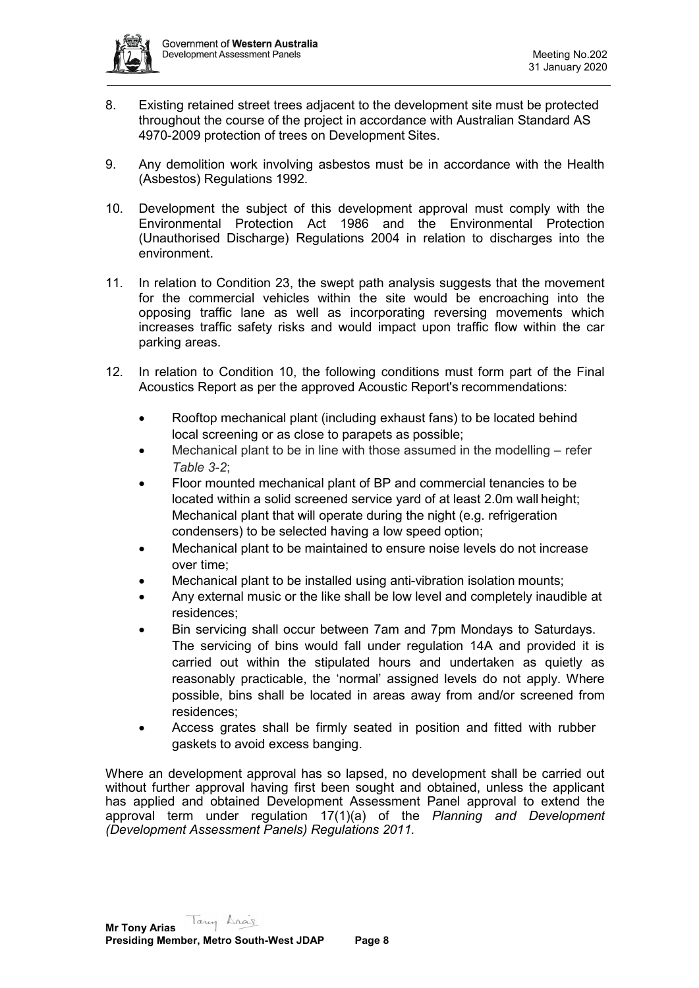

- 8. Existing retained street trees adjacent to the development site must be protected throughout the course of the project in accordance with Australian Standard AS 4970-2009 protection of trees on Development Sites.
- 9. Any demolition work involving asbestos must be in accordance with the Health (Asbestos) Regulations 1992.
- 10. Development the subject of this development approval must comply with the Environmental Protection Act 1986 and the Environmental Protection (Unauthorised Discharge) Regulations 2004 in relation to discharges into the environment.
- 11. In relation to Condition 23, the swept path analysis suggests that the movement for the commercial vehicles within the site would be encroaching into the opposing traffic lane as well as incorporating reversing movements which increases traffic safety risks and would impact upon traffic flow within the car parking areas.
- 12. In relation to Condition 10, the following conditions must form part of the Final Acoustics Report as per the approved Acoustic Report's recommendations:
	- Rooftop mechanical plant (including exhaust fans) to be located behind local screening or as close to parapets as possible;
	- Mechanical plant to be in line with those assumed in the modelling refer *Table 3-2*;
	- Floor mounted mechanical plant of BP and commercial tenancies to be located within a solid screened service yard of at least 2.0m wall height; Mechanical plant that will operate during the night (e.g. refrigeration condensers) to be selected having a low speed option;
	- Mechanical plant to be maintained to ensure noise levels do not increase over time;
	- Mechanical plant to be installed using anti-vibration isolation mounts;
	- Any external music or the like shall be low level and completely inaudible at residences;
	- Bin servicing shall occur between 7am and 7pm Mondays to Saturdays. The servicing of bins would fall under regulation 14A and provided it is carried out within the stipulated hours and undertaken as quietly as reasonably practicable, the 'normal' assigned levels do not apply. Where possible, bins shall be located in areas away from and/or screened from residences;
	- Access grates shall be firmly seated in position and fitted with rubber gaskets to avoid excess banging.

Where an development approval has so lapsed, no development shall be carried out without further approval having first been sought and obtained, unless the applicant has applied and obtained Development Assessment Panel approval to extend the approval term under regulation 17(1)(a) of the *Planning and Development (Development Assessment Panels) Regulations 2011.*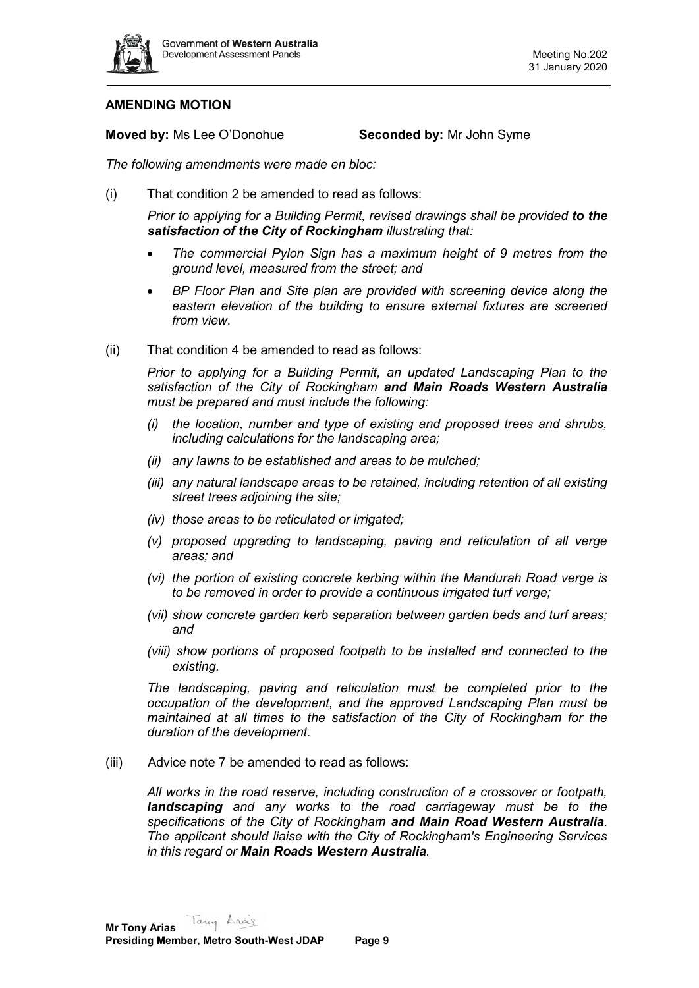

# **AMENDING MOTION**

**Moved by:** Ms Lee O'Donohue **Seconded by:** Mr John Syme

*The following amendments were made en bloc:*

(i) That condition 2 be amended to read as follows:

*Prior to applying for a Building Permit, revised drawings shall be provided to the satisfaction of the City of Rockingham illustrating that:*

- *The commercial Pylon Sign has a maximum height of 9 metres from the ground level, measured from the street; and*
- *BP Floor Plan and Site plan are provided with screening device along the eastern elevation of the building to ensure external fixtures are screened from view.*
- (ii) That condition 4 be amended to read as follows:

*Prior to applying for a Building Permit, an updated Landscaping Plan to the satisfaction of the City of Rockingham and Main Roads Western Australia must be prepared and must include the following:* 

- *(i) the location, number and type of existing and proposed trees and shrubs, including calculations for the landscaping area;*
- *(ii) any lawns to be established and areas to be mulched;*
- *(iii) any natural landscape areas to be retained, including retention of all existing street trees adjoining the site;*
- *(iv) those areas to be reticulated or irrigated;*
- *(v) proposed upgrading to landscaping, paving and reticulation of all verge areas; and*
- *(vi) the portion of existing concrete kerbing within the Mandurah Road verge is to be removed in order to provide a continuous irrigated turf verge;*
- *(vii) show concrete garden kerb separation between garden beds and turf areas; and*
- *(viii) show portions of proposed footpath to be installed and connected to the existing.*

*The landscaping, paving and reticulation must be completed prior to the occupation of the development, and the approved Landscaping Plan must be maintained at all times to the satisfaction of the City of Rockingham for the duration of the development.*

(iii) Advice note 7 be amended to read as follows:

*All works in the road reserve, including construction of a crossover or footpath, landscaping and any works to the road carriageway must be to the specifications of the City of Rockingham and Main Road Western Australia*. *The applicant should liaise with the City of Rockingham's Engineering Services in this regard or Main Roads Western Australia.*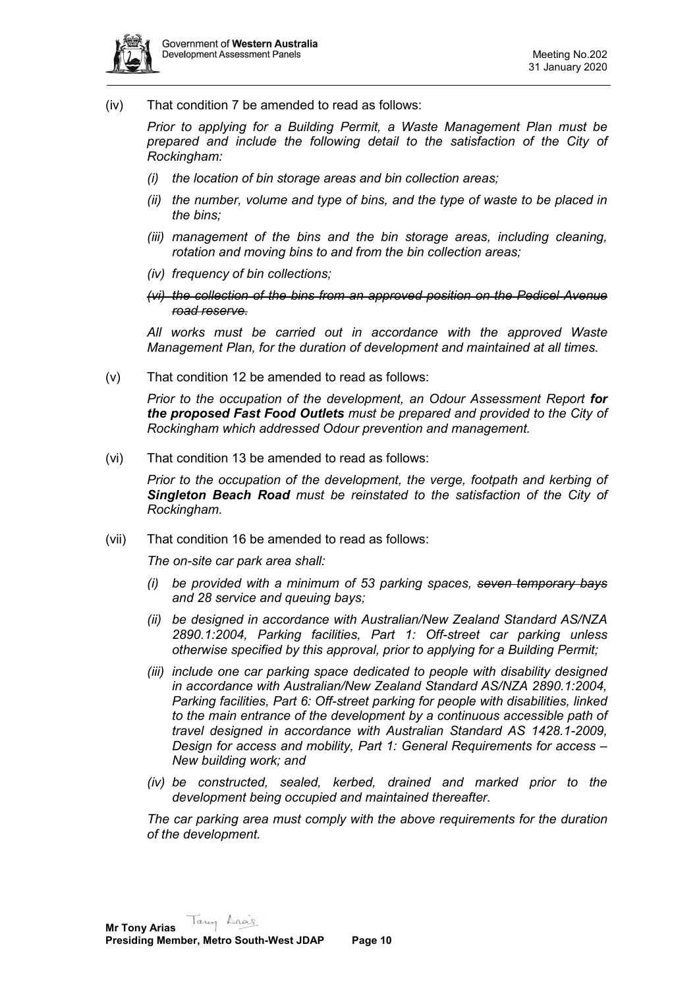

(iv) That condition 7 be amended to read as follows:

*Prior to applying for a Building Permit, a Waste Management Plan must be prepared and include the following detail to the satisfaction of the City of Rockingham:* 

- *(i) the location of bin storage areas and bin collection areas;*
- *(ii) the number, volume and type of bins, and the type of waste to be placed in the bins;*
- *(iii) management of the bins and the bin storage areas, including cleaning, rotation and moving bins to and from the bin collection areas;*
- *(iv) frequency of bin collections;*
- *(vi) the collection of the bins from an approved position on the Pedicel Avenue road reserve.*

*All works must be carried out in accordance with the approved Waste Management Plan, for the duration of development and maintained at all times.*

(v) That condition 12 be amended to read as follows:

*Prior to the occupation of the development, an Odour Assessment Report for the proposed Fast Food Outlets must be prepared and provided to the City of Rockingham which addressed Odour prevention and management.*

(vi) That condition 13 be amended to read as follows:

*Prior to the occupation of the development, the verge, footpath and kerbing of Singleton Beach Road must be reinstated to the satisfaction of the City of Rockingham.*

(vii) That condition 16 be amended to read as follows:

*The on-site car park area shall:*

- *(i) be provided with a minimum of 53 parking spaces, seven temporary bays and 28 service and queuing bays;*
- *(ii) be designed in accordance with Australian/New Zealand Standard AS/NZA 2890.1:2004, Parking facilities, Part 1: Off-street car parking unless otherwise specified by this approval, prior to applying for a Building Permit;*
- *(iii) include one car parking space dedicated to people with disability designed in accordance with Australian/New Zealand Standard AS/NZA 2890.1:2004, Parking facilities, Part 6: Off-street parking for people with disabilities, linked to the main entrance of the development by a continuous accessible path of travel designed in accordance with Australian Standard AS 1428.1-2009, Design for access and mobility, Part 1: General Requirements for access – New building work; and*
- *(iv) be constructed, sealed, kerbed, drained and marked prior to the development being occupied and maintained thereafter.*

*The car parking area must comply with the above requirements for the duration of the development.*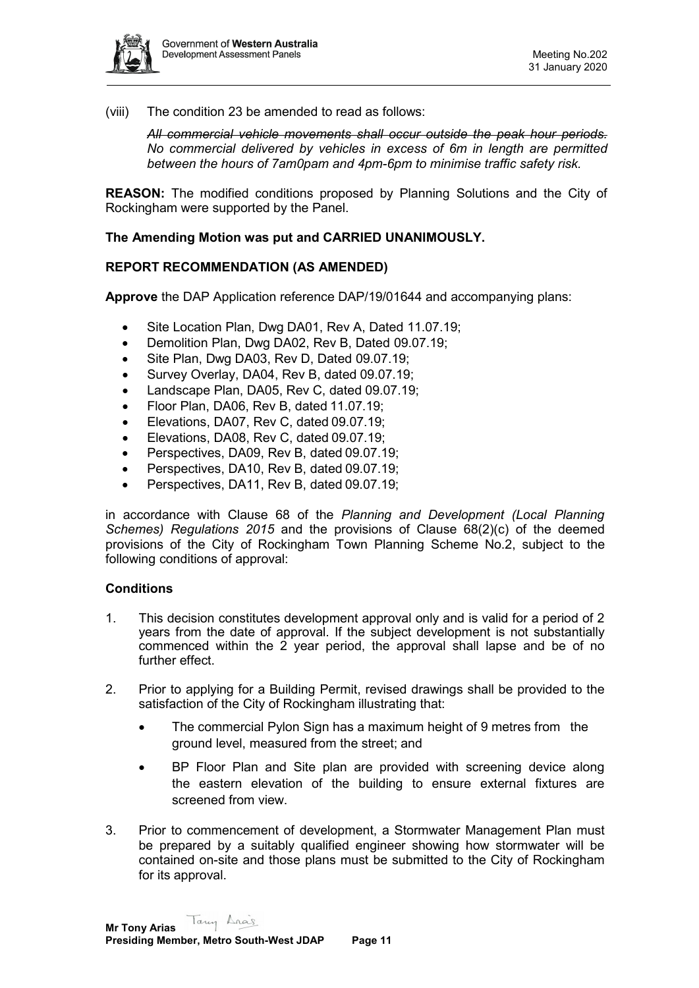

(viii) The condition 23 be amended to read as follows:

*All commercial vehicle movements shall occur outside the peak hour periods. No commercial delivered by vehicles in excess of 6m in length are permitted between the hours of 7am0pam and 4pm-6pm to minimise traffic safety risk.*

**REASON:** The modified conditions proposed by Planning Solutions and the City of Rockingham were supported by the Panel.

## **The Amending Motion was put and CARRIED UNANIMOUSLY.**

## **REPORT RECOMMENDATION (AS AMENDED)**

**Approve** the DAP Application reference DAP/19/01644 and accompanying plans:

- Site Location Plan, Dwg DA01, Rev A, Dated 11.07.19;
- Demolition Plan, Dwg DA02, Rev B, Dated 09.07.19;
- Site Plan, Dwg DA03, Rev D, Dated 09.07.19;
- Survey Overlay, DA04, Rev B, dated 09.07.19;
- Landscape Plan, DA05, Rev C, dated 09.07.19;
- Floor Plan, DA06, Rev B, dated 11.07.19;
- Elevations, DA07, Rev C, dated 09.07.19;
- Elevations, DA08, Rev C, dated 09.07.19;
- Perspectives, DA09, Rev B, dated 09.07.19;
- Perspectives, DA10, Rev B, dated 09.07.19;
- Perspectives, DA11, Rev B, dated 09.07.19;

in accordance with Clause 68 of the *Planning and Development (Local Planning Schemes) Regulations 2015* and the provisions of Clause 68(2)(c) of the deemed provisions of the City of Rockingham Town Planning Scheme No.2, subject to the following conditions of approval:

#### **Conditions**

- 1. This decision constitutes development approval only and is valid for a period of 2 years from the date of approval. If the subject development is not substantially commenced within the 2 year period, the approval shall lapse and be of no further effect.
- 2. Prior to applying for a Building Permit, revised drawings shall be provided to the satisfaction of the City of Rockingham illustrating that:
	- The commercial Pylon Sign has a maximum height of 9 metres from the ground level, measured from the street; and
	- BP Floor Plan and Site plan are provided with screening device along the eastern elevation of the building to ensure external fixtures are screened from view.
- 3. Prior to commencement of development, a Stormwater Management Plan must be prepared by a suitably qualified engineer showing how stormwater will be contained on-site and those plans must be submitted to the City of Rockingham for its approval.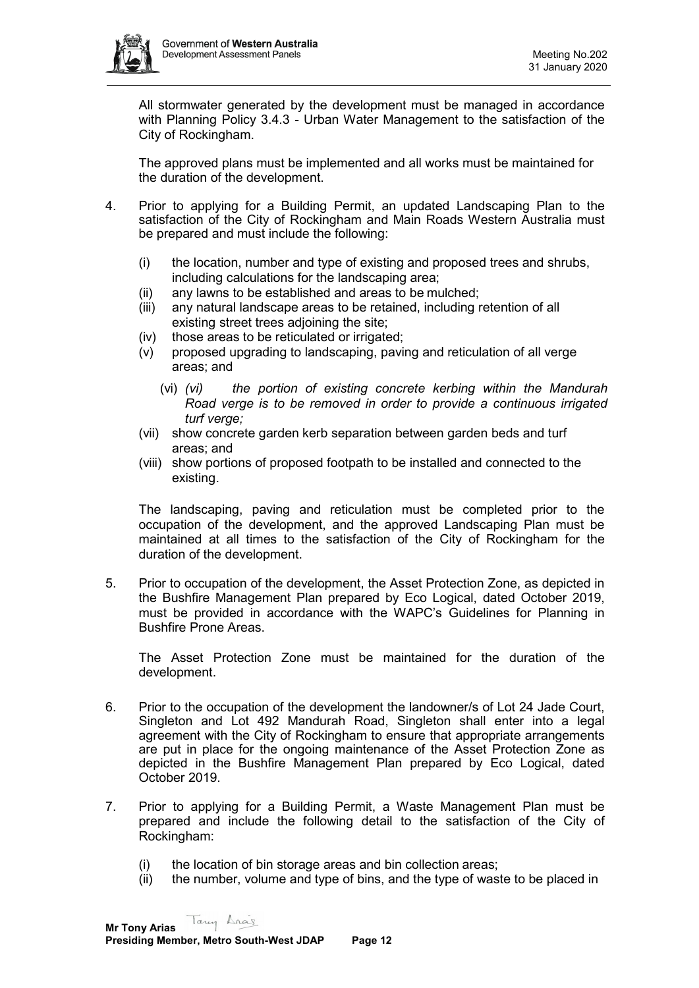

All stormwater generated by the development must be managed in accordance with Planning Policy 3.4.3 - Urban Water Management to the satisfaction of the City of Rockingham.

The approved plans must be implemented and all works must be maintained for the duration of the development.

- 4. Prior to applying for a Building Permit, an updated Landscaping Plan to the satisfaction of the City of Rockingham and Main Roads Western Australia must be prepared and must include the following:
	- (i) the location, number and type of existing and proposed trees and shrubs, including calculations for the landscaping area;
	- (ii) any lawns to be established and areas to be mulched;
	- (iii) any natural landscape areas to be retained, including retention of all existing street trees adjoining the site;
	- (iv) those areas to be reticulated or irrigated;
	- (v) proposed upgrading to landscaping, paving and reticulation of all verge areas; and
		- (vi) *(vi) the portion of existing concrete kerbing within the Mandurah Road verge is to be removed in order to provide a continuous irrigated turf verge;*
	- (vii) show concrete garden kerb separation between garden beds and turf areas; and
	- (viii) show portions of proposed footpath to be installed and connected to the existing.

The landscaping, paving and reticulation must be completed prior to the occupation of the development, and the approved Landscaping Plan must be maintained at all times to the satisfaction of the City of Rockingham for the duration of the development.

5. Prior to occupation of the development, the Asset Protection Zone, as depicted in the Bushfire Management Plan prepared by Eco Logical, dated October 2019, must be provided in accordance with the WAPC's Guidelines for Planning in Bushfire Prone Areas.

The Asset Protection Zone must be maintained for the duration of the development.

- 6. Prior to the occupation of the development the landowner/s of Lot 24 Jade Court, Singleton and Lot 492 Mandurah Road, Singleton shall enter into a legal agreement with the City of Rockingham to ensure that appropriate arrangements are put in place for the ongoing maintenance of the Asset Protection Zone as depicted in the Bushfire Management Plan prepared by Eco Logical, dated October 2019.
- 7. Prior to applying for a Building Permit, a Waste Management Plan must be prepared and include the following detail to the satisfaction of the City of Rockingham:
	- (i) the location of bin storage areas and bin collection areas;
	- (ii) the number, volume and type of bins, and the type of waste to be placed in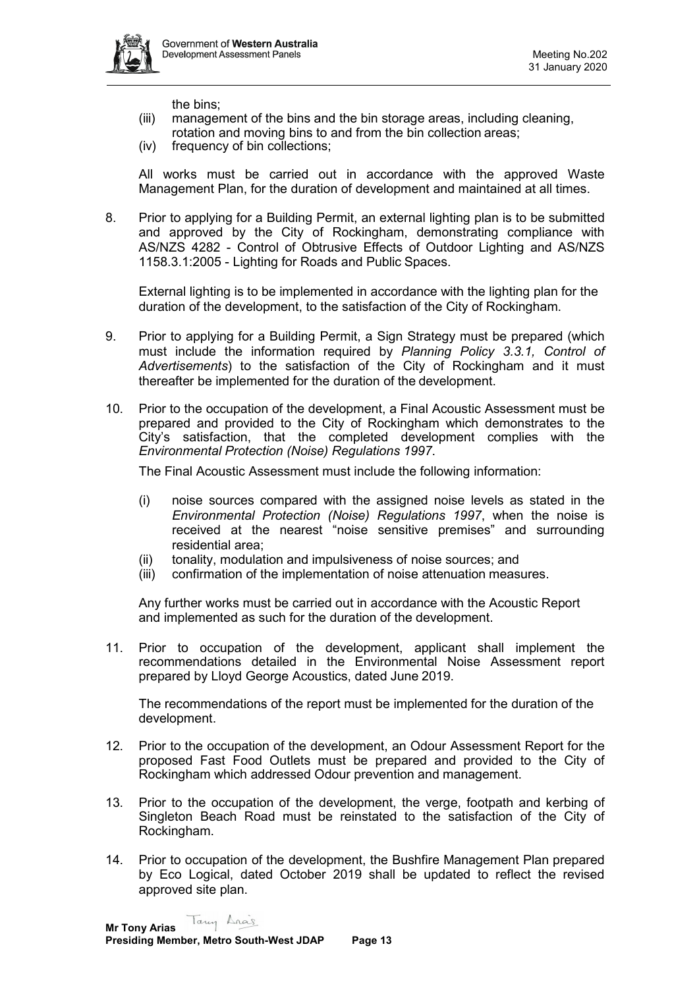

the bins;

- (iii) management of the bins and the bin storage areas, including cleaning,
- rotation and moving bins to and from the bin collection areas;
- (iv) frequency of bin collections;

All works must be carried out in accordance with the approved Waste Management Plan, for the duration of development and maintained at all times.

8. Prior to applying for a Building Permit, an external lighting plan is to be submitted and approved by the City of Rockingham, demonstrating compliance with AS/NZS 4282 - Control of Obtrusive Effects of Outdoor Lighting and AS/NZS 1158.3.1:2005 - Lighting for Roads and Public Spaces.

External lighting is to be implemented in accordance with the lighting plan for the duration of the development, to the satisfaction of the City of Rockingham.

- 9. Prior to applying for a Building Permit, a Sign Strategy must be prepared (which must include the information required by *Planning Policy 3.3.1, Control of Advertisements*) to the satisfaction of the City of Rockingham and it must thereafter be implemented for the duration of the development.
- 10. Prior to the occupation of the development, a Final Acoustic Assessment must be prepared and provided to the City of Rockingham which demonstrates to the City's satisfaction, that the completed development complies with the *Environmental Protection (Noise) Regulations 1997*.

The Final Acoustic Assessment must include the following information:

- (i) noise sources compared with the assigned noise levels as stated in the *Environmental Protection (Noise) Regulations 1997*, when the noise is received at the nearest "noise sensitive premises" and surrounding residential area;
- (ii) tonality, modulation and impulsiveness of noise sources; and
- (iii) confirmation of the implementation of noise attenuation measures.

Any further works must be carried out in accordance with the Acoustic Report and implemented as such for the duration of the development.

11. Prior to occupation of the development, applicant shall implement the recommendations detailed in the Environmental Noise Assessment report prepared by Lloyd George Acoustics, dated June 2019.

The recommendations of the report must be implemented for the duration of the development.

- 12. Prior to the occupation of the development, an Odour Assessment Report for the proposed Fast Food Outlets must be prepared and provided to the City of Rockingham which addressed Odour prevention and management.
- 13. Prior to the occupation of the development, the verge, footpath and kerbing of Singleton Beach Road must be reinstated to the satisfaction of the City of Rockingham.
- 14. Prior to occupation of the development, the Bushfire Management Plan prepared by Eco Logical, dated October 2019 shall be updated to reflect the revised approved site plan.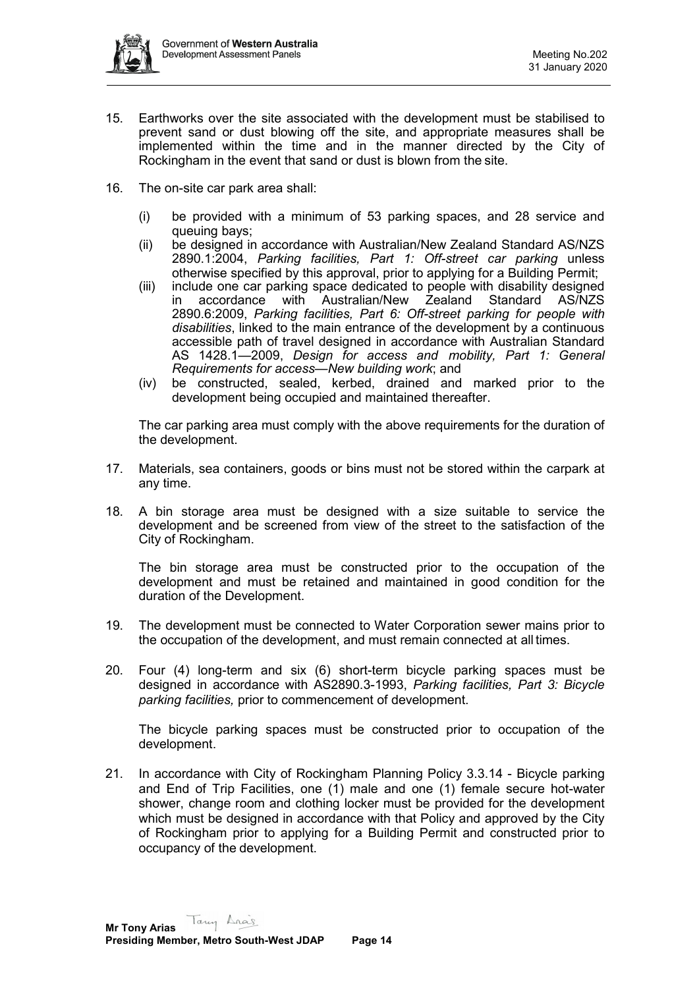

- 15. Earthworks over the site associated with the development must be stabilised to prevent sand or dust blowing off the site, and appropriate measures shall be implemented within the time and in the manner directed by the City of Rockingham in the event that sand or dust is blown from the site.
- 16. The on-site car park area shall:
	- (i) be provided with a minimum of 53 parking spaces, and 28 service and queuing bays;
	- (ii) be designed in accordance with Australian/New Zealand Standard AS/NZS 2890.1:2004, *Parking facilities, Part 1: Off-street car parking* unless otherwise specified by this approval, prior to applying for a Building Permit;
	- (iii) include one car parking space dedicated to people with disability designed accordance with Australian/New Zealand Standard AS/NZS 2890.6:2009, *Parking facilities, Part 6: Off-street parking for people with disabilities*, linked to the main entrance of the development by a continuous accessible path of travel designed in accordance with Australian Standard AS 1428.1—2009, *Design for access and mobility, Part 1: General Requirements for access—New building work*; and
	- (iv) be constructed, sealed, kerbed, drained and marked prior to the development being occupied and maintained thereafter.

The car parking area must comply with the above requirements for the duration of the development.

- 17. Materials, sea containers, goods or bins must not be stored within the carpark at any time.
- 18. A bin storage area must be designed with a size suitable to service the development and be screened from view of the street to the satisfaction of the City of Rockingham.

The bin storage area must be constructed prior to the occupation of the development and must be retained and maintained in good condition for the duration of the Development.

- 19. The development must be connected to Water Corporation sewer mains prior to the occupation of the development, and must remain connected at all times.
- 20. Four (4) long-term and six (6) short-term bicycle parking spaces must be designed in accordance with AS2890.3-1993, *Parking facilities, Part 3: Bicycle parking facilities,* prior to commencement of development.

The bicycle parking spaces must be constructed prior to occupation of the development.

21. In accordance with City of Rockingham Planning Policy 3.3.14 - Bicycle parking and End of Trip Facilities, one (1) male and one (1) female secure hot-water shower, change room and clothing locker must be provided for the development which must be designed in accordance with that Policy and approved by the City of Rockingham prior to applying for a Building Permit and constructed prior to occupancy of the development.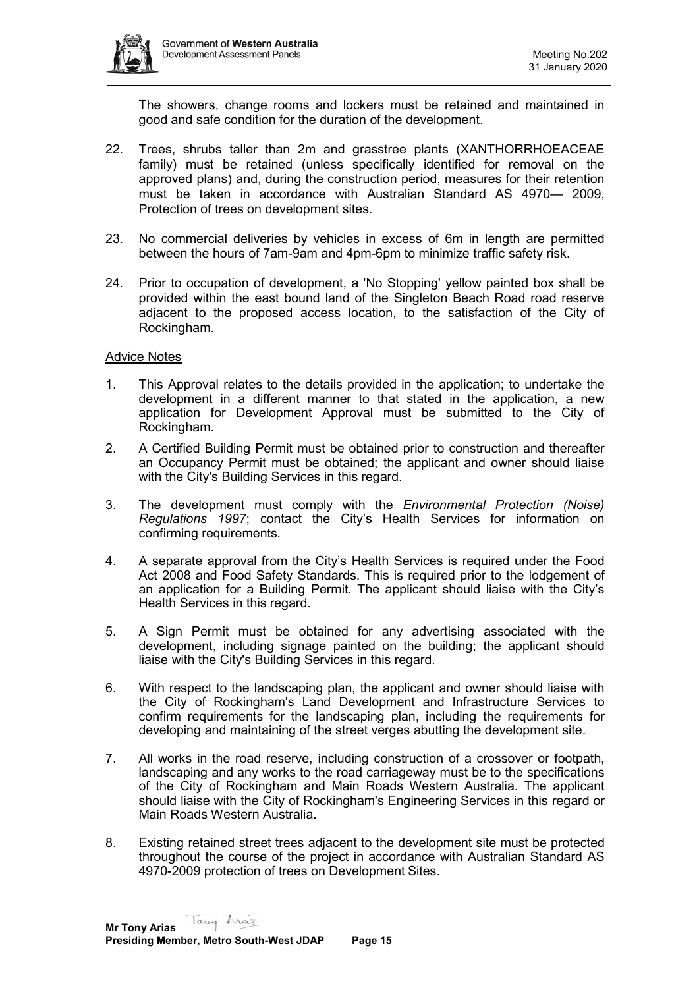

The showers, change rooms and lockers must be retained and maintained in good and safe condition for the duration of the development.

- 22. Trees, shrubs taller than 2m and grasstree plants (XANTHORRHOEACEAE family) must be retained (unless specifically identified for removal on the approved plans) and, during the construction period, measures for their retention must be taken in accordance with Australian Standard AS 4970— 2009, Protection of trees on development sites.
- 23. No commercial deliveries by vehicles in excess of 6m in length are permitted between the hours of 7am-9am and 4pm-6pm to minimize traffic safety risk.
- 24. Prior to occupation of development, a 'No Stopping' yellow painted box shall be provided within the east bound land of the Singleton Beach Road road reserve adjacent to the proposed access location, to the satisfaction of the City of Rockingham.

#### Advice Notes

- 1. This Approval relates to the details provided in the application; to undertake the development in a different manner to that stated in the application, a new application for Development Approval must be submitted to the City of Rockingham.
- 2. A Certified Building Permit must be obtained prior to construction and thereafter an Occupancy Permit must be obtained; the applicant and owner should liaise with the City's Building Services in this regard.
- 3. The development must comply with the *Environmental Protection (Noise) Regulations 1997*; contact the City's Health Services for information on confirming requirements.
- 4. A separate approval from the City's Health Services is required under the Food Act 2008 and Food Safety Standards. This is required prior to the lodgement of an application for a Building Permit. The applicant should liaise with the City's Health Services in this regard.
- 5. A Sign Permit must be obtained for any advertising associated with the development, including signage painted on the building; the applicant should liaise with the City's Building Services in this regard.
- 6. With respect to the landscaping plan, the applicant and owner should liaise with the City of Rockingham's Land Development and Infrastructure Services to confirm requirements for the landscaping plan, including the requirements for developing and maintaining of the street verges abutting the development site.
- 7. All works in the road reserve, including construction of a crossover or footpath, landscaping and any works to the road carriageway must be to the specifications of the City of Rockingham and Main Roads Western Australia. The applicant should liaise with the City of Rockingham's Engineering Services in this regard or Main Roads Western Australia.
- 8. Existing retained street trees adjacent to the development site must be protected throughout the course of the project in accordance with Australian Standard AS 4970-2009 protection of trees on Development Sites.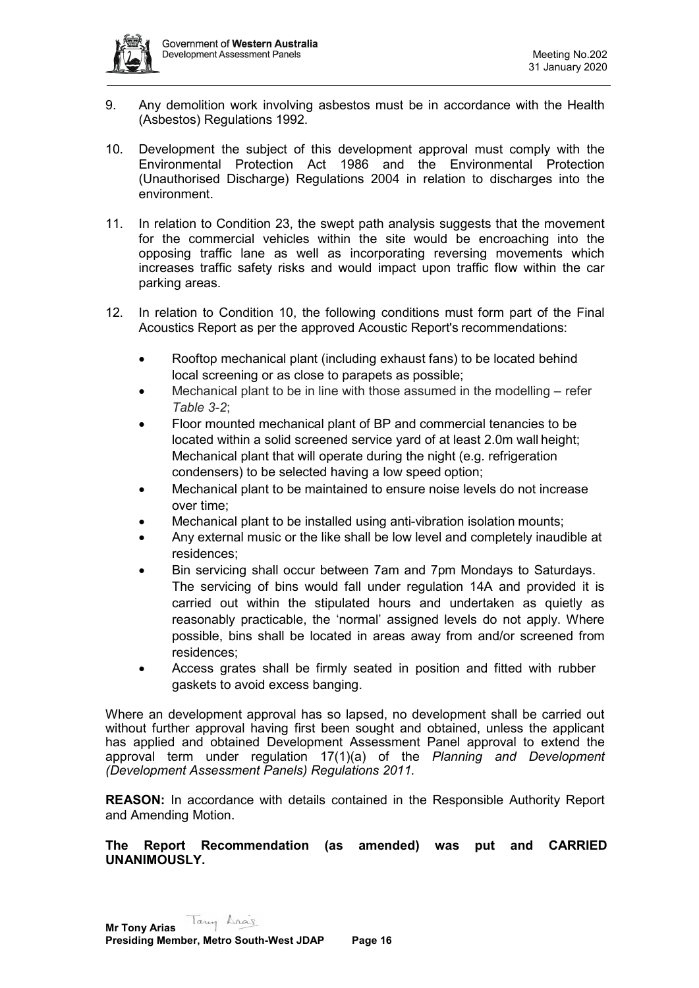

- 9. Any demolition work involving asbestos must be in accordance with the Health (Asbestos) Regulations 1992.
- 10. Development the subject of this development approval must comply with the Environmental Protection Act 1986 and the Environmental Protection (Unauthorised Discharge) Regulations 2004 in relation to discharges into the environment.
- 11. In relation to Condition 23, the swept path analysis suggests that the movement for the commercial vehicles within the site would be encroaching into the opposing traffic lane as well as incorporating reversing movements which increases traffic safety risks and would impact upon traffic flow within the car parking areas.
- 12. In relation to Condition 10, the following conditions must form part of the Final Acoustics Report as per the approved Acoustic Report's recommendations:
	- Rooftop mechanical plant (including exhaust fans) to be located behind local screening or as close to parapets as possible;
	- Mechanical plant to be in line with those assumed in the modelling refer *Table 3-2*;
	- Floor mounted mechanical plant of BP and commercial tenancies to be located within a solid screened service yard of at least 2.0m wall height; Mechanical plant that will operate during the night (e.g. refrigeration condensers) to be selected having a low speed option;
	- Mechanical plant to be maintained to ensure noise levels do not increase over time;
	- Mechanical plant to be installed using anti-vibration isolation mounts;
	- Any external music or the like shall be low level and completely inaudible at residences;
	- Bin servicing shall occur between 7am and 7pm Mondays to Saturdays. The servicing of bins would fall under regulation 14A and provided it is carried out within the stipulated hours and undertaken as quietly as reasonably practicable, the 'normal' assigned levels do not apply. Where possible, bins shall be located in areas away from and/or screened from residences;
	- Access grates shall be firmly seated in position and fitted with rubber gaskets to avoid excess banging.

Where an development approval has so lapsed, no development shall be carried out without further approval having first been sought and obtained, unless the applicant has applied and obtained Development Assessment Panel approval to extend the approval term under regulation 17(1)(a) of the *Planning and Development (Development Assessment Panels) Regulations 2011.*

**REASON:** In accordance with details contained in the Responsible Authority Report and Amending Motion.

**The Report Recommendation (as amended) was put and CARRIED UNANIMOUSLY.**